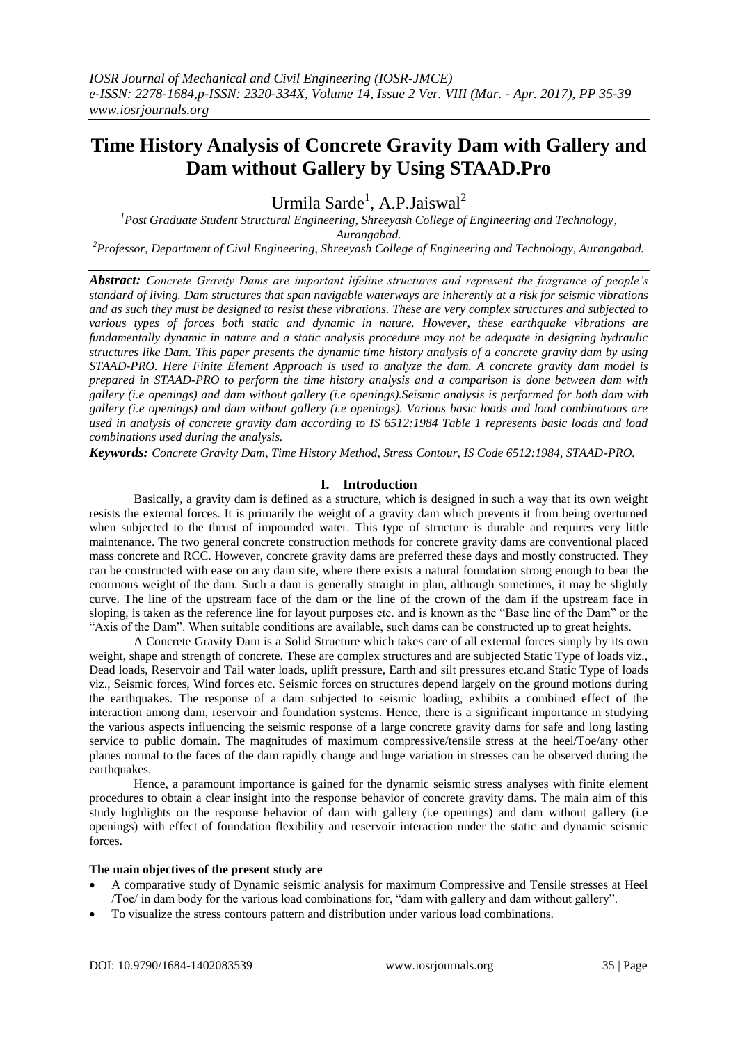# **Time History Analysis of Concrete Gravity Dam with Gallery and Dam without Gallery by Using STAAD.Pro**

Urmila Sarde<sup>1</sup>, A.P.Jaiswal<sup>2</sup>

*<sup>1</sup>Post Graduate Student Structural Engineering, Shreeyash College of Engineering and Technology, Aurangabad.*

*<sup>2</sup>Professor, Department of Civil Engineering, Shreeyash College of Engineering and Technology, Aurangabad.*

*Abstract: Concrete Gravity Dams are important lifeline structures and represent the fragrance of people's standard of living. Dam structures that span navigable waterways are inherently at a risk for seismic vibrations and as such they must be designed to resist these vibrations. These are very complex structures and subjected to various types of forces both static and dynamic in nature. However, these earthquake vibrations are fundamentally dynamic in nature and a static analysis procedure may not be adequate in designing hydraulic structures like Dam. This paper presents the dynamic time history analysis of a concrete gravity dam by using STAAD-PRO. Here Finite Element Approach is used to analyze the dam. A concrete gravity dam model is prepared in STAAD-PRO to perform the time history analysis and a comparison is done between dam with gallery (i.e openings) and dam without gallery (i.e openings).Seismic analysis is performed for both dam with gallery (i.e openings) and dam without gallery (i.e openings). Various basic loads and load combinations are used in analysis of concrete gravity dam according to IS 6512:1984 Table 1 represents basic loads and load combinations used during the analysis.*

*Keywords: Concrete Gravity Dam, Time History Method, Stress Contour, IS Code 6512:1984, STAAD-PRO.*

#### **I. Introduction**

Basically, a gravity dam is defined as a structure, which is designed in such a way that its own weight resists the external forces. It is primarily the weight of a gravity dam which prevents it from being overturned when subjected to the thrust of impounded water. This type of structure is durable and requires very little maintenance. The two general concrete construction methods for concrete gravity dams are conventional placed mass concrete and RCC. However, concrete gravity dams are preferred these days and mostly constructed. They can be constructed with ease on any dam site, where there exists a natural foundation strong enough to bear the enormous weight of the dam. Such a dam is generally straight in plan, although sometimes, it may be slightly curve. The line of the upstream face of the dam or the line of the crown of the dam if the upstream face in sloping, is taken as the reference line for layout purposes etc. and is known as the "Base line of the Dam" or the "Axis of the Dam". When suitable conditions are available, such dams can be constructed up to great heights.

A Concrete Gravity Dam is a Solid Structure which takes care of all external forces simply by its own weight, shape and strength of concrete. These are complex structures and are subjected Static Type of loads viz., Dead loads, Reservoir and Tail water loads, uplift pressure, Earth and silt pressures etc.and Static Type of loads viz., Seismic forces, Wind forces etc. Seismic forces on structures depend largely on the ground motions during the earthquakes. The response of a dam subjected to seismic loading, exhibits a combined effect of the interaction among dam, reservoir and foundation systems. Hence, there is a significant importance in studying the various aspects influencing the seismic response of a large concrete gravity dams for safe and long lasting service to public domain. The magnitudes of maximum compressive/tensile stress at the heel/Toe/any other planes normal to the faces of the dam rapidly change and huge variation in stresses can be observed during the earthquakes.

Hence, a paramount importance is gained for the dynamic seismic stress analyses with finite element procedures to obtain a clear insight into the response behavior of concrete gravity dams. The main aim of this study highlights on the response behavior of dam with gallery (i.e openings) and dam without gallery (i.e openings) with effect of foundation flexibility and reservoir interaction under the static and dynamic seismic forces.

#### **The main objectives of the present study are**

- A comparative study of Dynamic seismic analysis for maximum Compressive and Tensile stresses at Heel /Toe/ in dam body for the various load combinations for, "dam with gallery and dam without gallery".
- To visualize the stress contours pattern and distribution under various load combinations.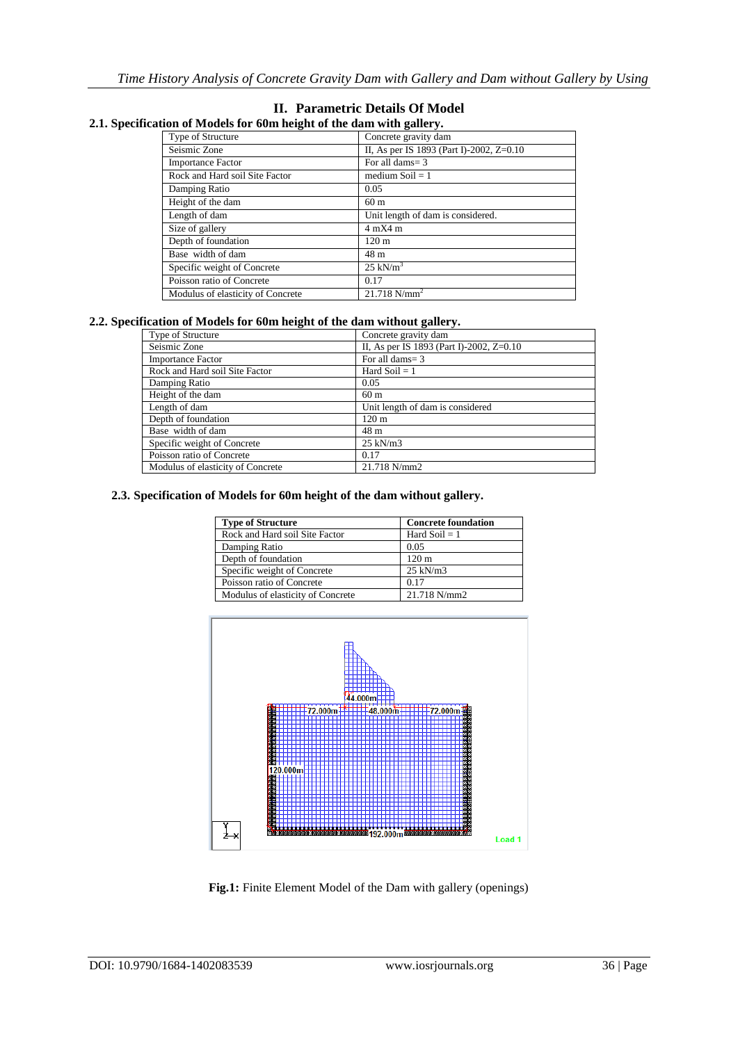# **II. Parametric Details Of Model**

| 2.1. Specification of Models for 60m height of the dam with gallery. |  |
|----------------------------------------------------------------------|--|
|----------------------------------------------------------------------|--|

| non or hrough for bonn neight or the unin with gunery. |                                          |  |  |  |  |
|--------------------------------------------------------|------------------------------------------|--|--|--|--|
| Type of Structure                                      | Concrete gravity dam                     |  |  |  |  |
| Seismic Zone                                           | II, As per IS 1893 (Part I)-2002, Z=0.10 |  |  |  |  |
| <b>Importance Factor</b>                               | For all dams= 3                          |  |  |  |  |
| Rock and Hard soil Site Factor                         | medium Soil $= 1$                        |  |  |  |  |
| Damping Ratio                                          | 0.05                                     |  |  |  |  |
| Height of the dam                                      | 60 <sub>m</sub>                          |  |  |  |  |
| Length of dam                                          | Unit length of dam is considered.        |  |  |  |  |
| Size of gallery                                        | $4 \text{ mX}4 \text{ m}$                |  |  |  |  |
| Depth of foundation                                    | 120 <sub>m</sub>                         |  |  |  |  |
| Base width of dam                                      | 48 m                                     |  |  |  |  |
| Specific weight of Concrete                            | $25 \text{ kN/m}^3$                      |  |  |  |  |
| Poisson ratio of Concrete                              | 0.17                                     |  |  |  |  |
| Modulus of elasticity of Concrete                      | $21.718$ N/mm <sup>2</sup>               |  |  |  |  |

#### **2.2. Specification of Models for 60m height of the dam without gallery.**

| <b>Type of Structure</b>          | Concrete gravity dam                     |
|-----------------------------------|------------------------------------------|
| Seismic Zone                      | II, As per IS 1893 (Part I)-2002, Z=0.10 |
| <b>Importance Factor</b>          | For all dams $=$ 3                       |
| Rock and Hard soil Site Factor    | Hard Soil $= 1$                          |
| Damping Ratio                     | 0.05                                     |
| Height of the dam                 | 60 <sub>m</sub>                          |
| Length of dam                     | Unit length of dam is considered         |
| Depth of foundation               | $120 \text{ m}$                          |
| Base width of dam                 | 48 m                                     |
| Specific weight of Concrete       | $25 \text{ kN/m}$ 3                      |
| Poisson ratio of Concrete         | 0.17                                     |
| Modulus of elasticity of Concrete | 21.718 N/mm2                             |

#### **2.3. Specification of Models for 60m height of the dam without gallery.**

| <b>Type of Structure</b>          | <b>Concrete foundation</b> |  |  |  |
|-----------------------------------|----------------------------|--|--|--|
| Rock and Hard soil Site Factor    | Hard $Soil = 1$            |  |  |  |
| Damping Ratio                     | 0.05                       |  |  |  |
| Depth of foundation               | $120 \text{ m}$            |  |  |  |
| Specific weight of Concrete       | $25$ kN/m $3$              |  |  |  |
| Poisson ratio of Concrete         | 0.17                       |  |  |  |
| Modulus of elasticity of Concrete | 21.718 N/mm2               |  |  |  |



**Fig.1:** Finite Element Model of the Dam with gallery (openings)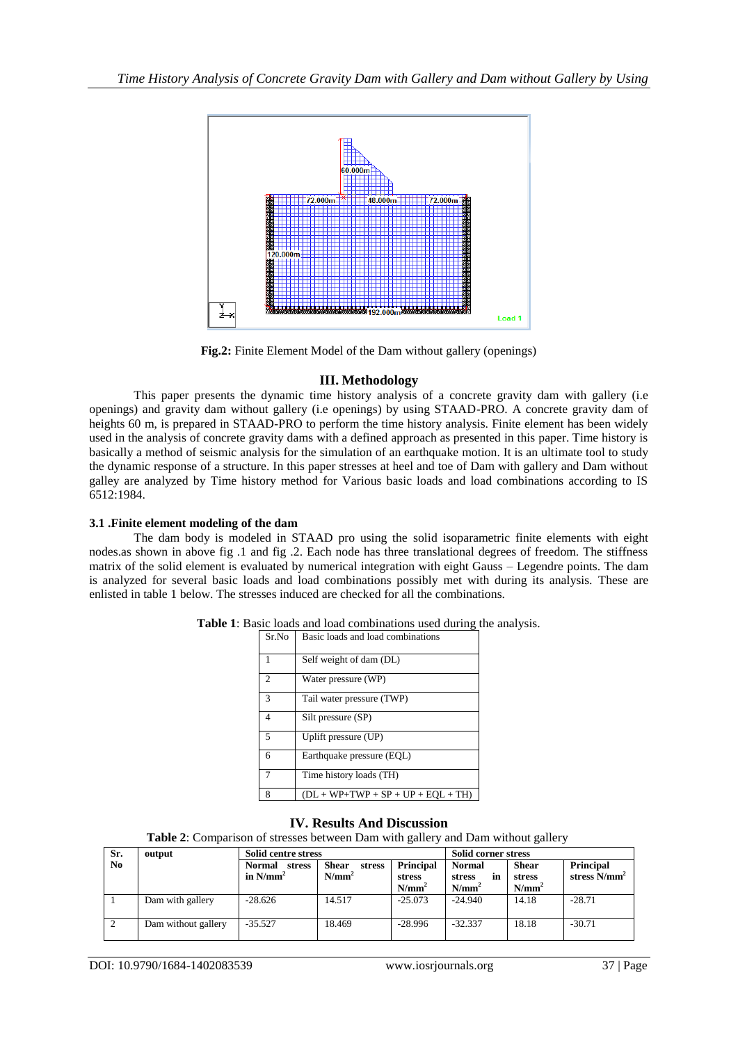

**Fig.2:** Finite Element Model of the Dam without gallery (openings)

## **III. Methodology**

This paper presents the dynamic time history analysis of a concrete gravity dam with gallery (i.e openings) and gravity dam without gallery (i.e openings) by using STAAD-PRO. A concrete gravity dam of heights 60 m, is prepared in STAAD-PRO to perform the time history analysis. Finite element has been widely used in the analysis of concrete gravity dams with a defined approach as presented in this paper. Time history is basically a method of seismic analysis for the simulation of an earthquake motion. It is an ultimate tool to study the dynamic response of a structure. In this paper stresses at heel and toe of Dam with gallery and Dam without galley are analyzed by Time history method for Various basic loads and load combinations according to IS 6512:1984.

#### **3.1 .Finite element modeling of the dam**

The dam body is modeled in STAAD pro using the solid isoparametric finite elements with eight nodes.as shown in above fig .1 and fig .2. Each node has three translational degrees of freedom. The stiffness matrix of the solid element is evaluated by numerical integration with eight Gauss – Legendre points. The dam is analyzed for several basic loads and load combinations possibly met with during its analysis. These are enlisted in table 1 below. The stresses induced are checked for all the combinations.

| Sr.No          | Basic loads and load combinations    |
|----------------|--------------------------------------|
|                | Self weight of dam (DL)              |
| $\overline{c}$ | Water pressure (WP)                  |
| 3              | Tail water pressure (TWP)            |
| 4              | Silt pressure (SP)                   |
| 5              | Uplift pressure (UP)                 |
| 6              | Earthquake pressure (EQL)            |
|                | Time history loads (TH)              |
| 8              | $(DL + WP+TWP + SP + UP + EOL + TH)$ |

**Table 1**: Basic loads and load combinations used during the analysis.

# **IV. Results And Discussion**

**Table 2**: Comparison of stresses between Dam with gallery and Dam without gallery

| Sr.            | output              | Solid centre stress             | Solid corner stress                |                                               |                                           |                                    |                              |
|----------------|---------------------|---------------------------------|------------------------------------|-----------------------------------------------|-------------------------------------------|------------------------------------|------------------------------|
| N <sub>0</sub> |                     | Normal<br>stress<br>in $N/mm^2$ | <b>Shear</b><br>stress<br>$N/mm^2$ | <b>Principal</b><br><b>stress</b><br>$N/mm^2$ | <b>Normal</b><br>stress<br>în<br>$N/mm^2$ | <b>Shear</b><br>stress<br>$N/mm^2$ | Principal<br>stress $N/mm^2$ |
|                | Dam with gallery    | $-28.626$                       | 14.517                             | $-25.073$                                     | $-24.940$                                 | 14.18                              | $-28.71$                     |
|                | Dam without gallery | $-35.527$                       | 18.469                             | $-28.996$                                     | $-32.337$                                 | 18.18                              | $-30.71$                     |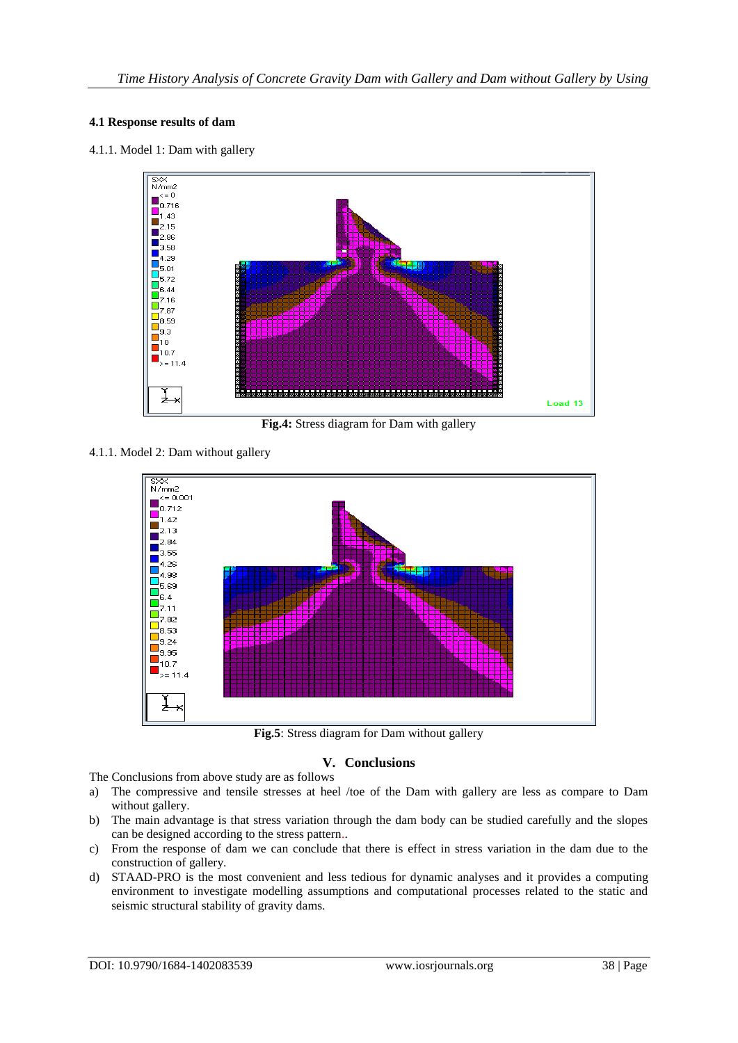#### **4.1 Response results of dam**

4.1.1. Model 1: Dam with gallery



**Fig.4:** Stress diagram for Dam with gallery

4.1.1. Model 2: Dam without gallery



**Fig.5**: Stress diagram for Dam without gallery

## **V. Conclusions**

The Conclusions from above study are as follows

- a) The compressive and tensile stresses at heel /toe of the Dam with gallery are less as compare to Dam without gallery.
- b) The main advantage is that stress variation through the dam body can be studied carefully and the slopes can be designed according to the stress pattern..
- c) From the response of dam we can conclude that there is effect in stress variation in the dam due to the construction of gallery.
- d) STAAD-PRO is the most convenient and less tedious for dynamic analyses and it provides a computing environment to investigate modelling assumptions and computational processes related to the static and seismic structural stability of gravity dams.